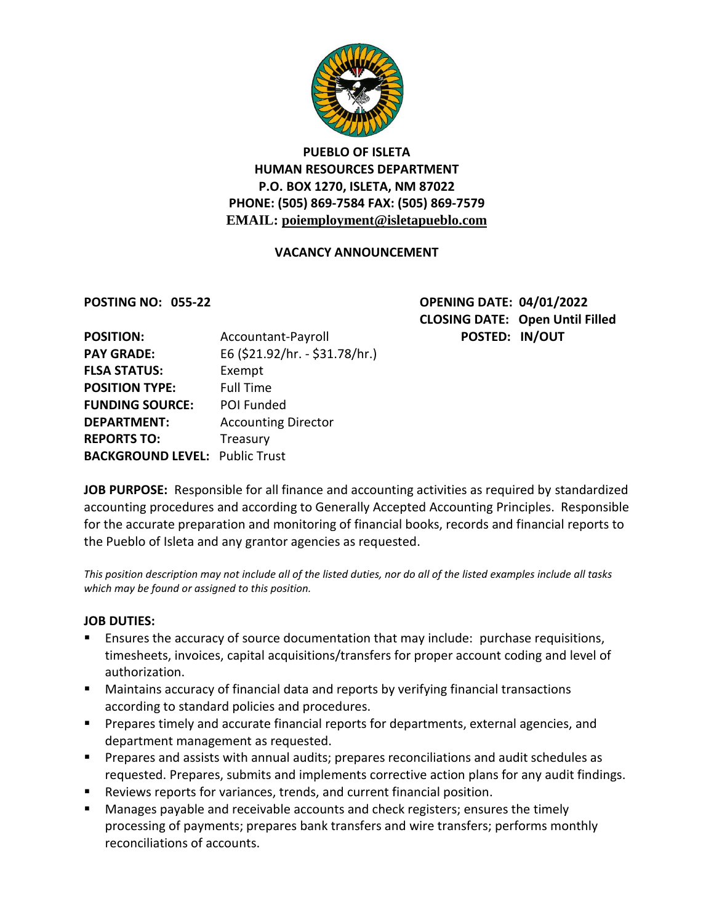

# **PUEBLO OF ISLETA HUMAN RESOURCES DEPARTMENT P.O. BOX 1270, ISLETA, NM 87022 PHONE: (505) 869-7584 FAX: (505) 869-7579 EMAIL: poiemployment@isletapueblo.com**

### **VACANCY ANNOUNCEMENT**

**POSTING NO: 055-22 OPENING DATE: 04/01/2022 CLOSING DATE: Open Until Filled POSTED: IN/OUT** 

| Accountant-Payroll                    |
|---------------------------------------|
| E6 (\$21.92/hr. - \$31.78/hr.)        |
| Exempt                                |
| <b>Full Time</b>                      |
| <b>POI Funded</b>                     |
| <b>Accounting Director</b>            |
| Treasury                              |
| <b>BACKGROUND LEVEL: Public Trust</b> |
|                                       |

**JOB PURPOSE:** Responsible for all finance and accounting activities as required by standardized accounting procedures and according to Generally Accepted Accounting Principles. Responsible for the accurate preparation and monitoring of financial books, records and financial reports to the Pueblo of Isleta and any grantor agencies as requested.

*This position description may not include all of the listed duties, nor do all of the listed examples include all tasks which may be found or assigned to this position.*

#### **JOB DUTIES:**

- Ensures the accuracy of source documentation that may include: purchase requisitions, timesheets, invoices, capital acquisitions/transfers for proper account coding and level of authorization.
- Maintains accuracy of financial data and reports by verifying financial transactions according to standard policies and procedures.
- **Prepares timely and accurate financial reports for departments, external agencies, and** department management as requested.
- **Prepares and assists with annual audits; prepares reconciliations and audit schedules as** requested. Prepares, submits and implements corrective action plans for any audit findings.
- Reviews reports for variances, trends, and current financial position.
- Manages payable and receivable accounts and check registers; ensures the timely processing of payments; prepares bank transfers and wire transfers; performs monthly reconciliations of accounts.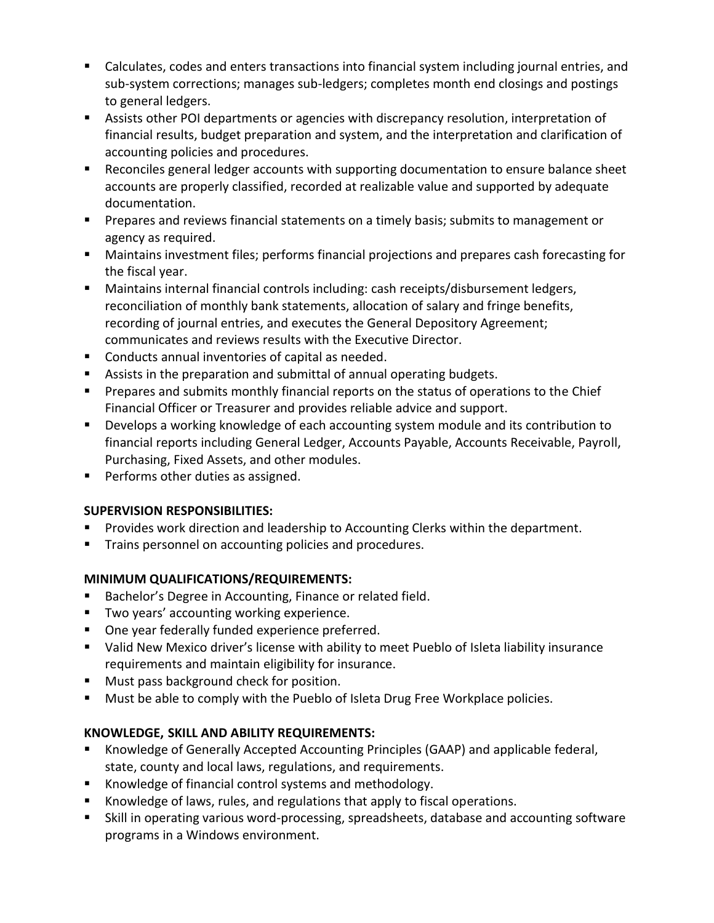- Calculates, codes and enters transactions into financial system including journal entries, and sub-system corrections; manages sub-ledgers; completes month end closings and postings to general ledgers.
- Assists other POI departments or agencies with discrepancy resolution, interpretation of financial results, budget preparation and system, and the interpretation and clarification of accounting policies and procedures.
- Reconciles general ledger accounts with supporting documentation to ensure balance sheet accounts are properly classified, recorded at realizable value and supported by adequate documentation.
- Prepares and reviews financial statements on a timely basis; submits to management or agency as required.
- Maintains investment files; performs financial projections and prepares cash forecasting for the fiscal year.
- Maintains internal financial controls including: cash receipts/disbursement ledgers, reconciliation of monthly bank statements, allocation of salary and fringe benefits, recording of journal entries, and executes the General Depository Agreement; communicates and reviews results with the Executive Director.
- Conducts annual inventories of capital as needed.
- Assists in the preparation and submittal of annual operating budgets.
- **Prepares and submits monthly financial reports on the status of operations to the Chief** Financial Officer or Treasurer and provides reliable advice and support.
- **Develops a working knowledge of each accounting system module and its contribution to** financial reports including General Ledger, Accounts Payable, Accounts Receivable, Payroll, Purchasing, Fixed Assets, and other modules.
- **Performs other duties as assigned.**

## **SUPERVISION RESPONSIBILITIES:**

- Provides work direction and leadership to Accounting Clerks within the department.
- Trains personnel on accounting policies and procedures.

## **MINIMUM QUALIFICATIONS/REQUIREMENTS:**

- **Bachelor's Degree in Accounting, Finance or related field.**
- **Two years' accounting working experience.**
- **Diam** One year federally funded experience preferred.
- Valid New Mexico driver's license with ability to meet Pueblo of Isleta liability insurance requirements and maintain eligibility for insurance.
- **Must pass background check for position.**
- **Must be able to comply with the Pueblo of Isleta Drug Free Workplace policies.**

## **KNOWLEDGE, SKILL AND ABILITY REQUIREMENTS:**

- Knowledge of Generally Accepted Accounting Principles (GAAP) and applicable federal, state, county and local laws, regulations, and requirements.
- Knowledge of financial control systems and methodology.
- Knowledge of laws, rules, and regulations that apply to fiscal operations.
- Skill in operating various word-processing, spreadsheets, database and accounting software programs in a Windows environment.